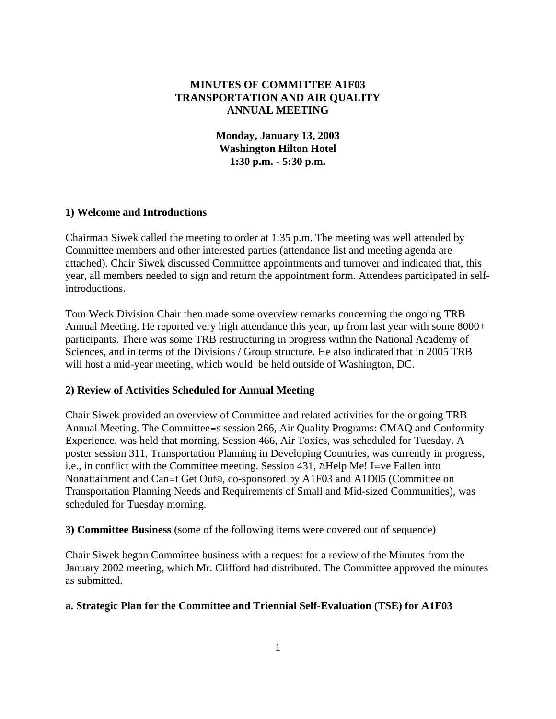## **MINUTES OF COMMITTEE A1F03 TRANSPORTATION AND AIR QUALITY ANNUAL MEETING**

**Monday, January 13, 2003 Washington Hilton Hotel 1:30 p.m. - 5:30 p.m.** 

### **1) Welcome and Introductions**

Chairman Siwek called the meeting to order at 1:35 p.m. The meeting was well attended by Committee members and other interested parties (attendance list and meeting agenda are attached). Chair Siwek discussed Committee appointments and turnover and indicated that, this year, all members needed to sign and return the appointment form. Attendees participated in selfintroductions.

Tom Weck Division Chair then made some overview remarks concerning the ongoing TRB Annual Meeting. He reported very high attendance this year, up from last year with some 8000+ participants. There was some TRB restructuring in progress within the National Academy of Sciences, and in terms of the Divisions / Group structure. He also indicated that in 2005 TRB will host a mid-year meeting, which would be held outside of Washington, DC.

### **2) Review of Activities Scheduled for Annual Meeting**

Chair Siwek provided an overview of Committee and related activities for the ongoing TRB Annual Meeting. The Committee=s session 266, Air Quality Programs: CMAQ and Conformity Experience, was held that morning. Session 466, Air Toxics, was scheduled for Tuesday. A poster session 311, Transportation Planning in Developing Countries, was currently in progress, i.e., in conflict with the Committee meeting. Session 431, AHelp Me! I=ve Fallen into Nonattainment and Can=t Get Out@, co-sponsored by A1F03 and A1D05 (Committee on Transportation Planning Needs and Requirements of Small and Mid-sized Communities), was scheduled for Tuesday morning.

**3) Committee Business** (some of the following items were covered out of sequence)

Chair Siwek began Committee business with a request for a review of the Minutes from the January 2002 meeting, which Mr. Clifford had distributed. The Committee approved the minutes as submitted.

### **a. Strategic Plan for the Committee and Triennial Self-Evaluation (TSE) for A1F03**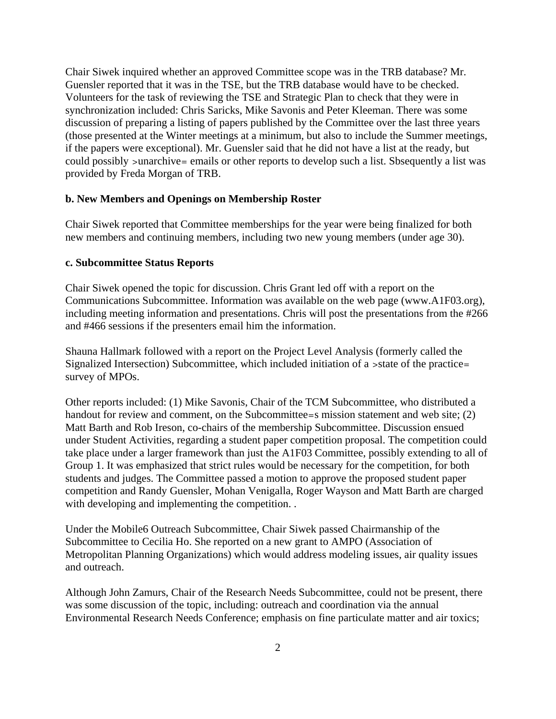Chair Siwek inquired whether an approved Committee scope was in the TRB database? Mr. Guensler reported that it was in the TSE, but the TRB database would have to be checked. Volunteers for the task of reviewing the TSE and Strategic Plan to check that they were in synchronization included: Chris Saricks, Mike Savonis and Peter Kleeman. There was some discussion of preparing a listing of papers published by the Committee over the last three years (those presented at the Winter meetings at a minimum, but also to include the Summer meetings, if the papers were exceptional). Mr. Guensler said that he did not have a list at the ready, but could possibly >unarchive= emails or other reports to develop such a list. Sbsequently a list was provided by Freda Morgan of TRB.

### **b. New Members and Openings on Membership Roster**

Chair Siwek reported that Committee memberships for the year were being finalized for both new members and continuing members, including two new young members (under age 30).

### **c. Subcommittee Status Reports**

Chair Siwek opened the topic for discussion. Chris Grant led off with a report on the Communications Subcommittee. Information was available on the web page (www.A1F03.org), including meeting information and presentations. Chris will post the presentations from the #266 and #466 sessions if the presenters email him the information.

Shauna Hallmark followed with a report on the Project Level Analysis (formerly called the Signalized Intersection) Subcommittee, which included initiation of a >state of the practice= survey of MPOs.

Other reports included: (1) Mike Savonis, Chair of the TCM Subcommittee, who distributed a handout for review and comment, on the Subcommittee=s mission statement and web site; (2) Matt Barth and Rob Ireson, co-chairs of the membership Subcommittee. Discussion ensued under Student Activities, regarding a student paper competition proposal. The competition could take place under a larger framework than just the A1F03 Committee, possibly extending to all of Group 1. It was emphasized that strict rules would be necessary for the competition, for both students and judges. The Committee passed a motion to approve the proposed student paper competition and Randy Guensler, Mohan Venigalla, Roger Wayson and Matt Barth are charged with developing and implementing the competition. .

Under the Mobile6 Outreach Subcommittee, Chair Siwek passed Chairmanship of the Subcommittee to Cecilia Ho. She reported on a new grant to AMPO (Association of Metropolitan Planning Organizations) which would address modeling issues, air quality issues and outreach.

Although John Zamurs, Chair of the Research Needs Subcommittee, could not be present, there was some discussion of the topic, including: outreach and coordination via the annual Environmental Research Needs Conference; emphasis on fine particulate matter and air toxics;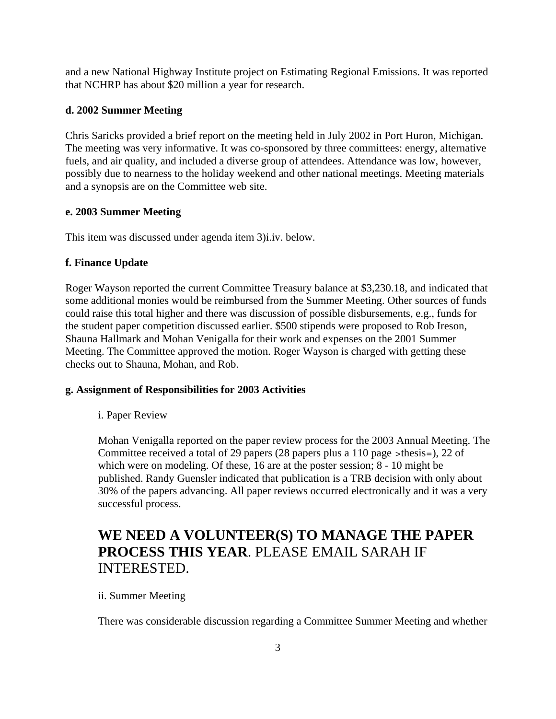and a new National Highway Institute project on Estimating Regional Emissions. It was reported that NCHRP has about \$20 million a year for research.

## **d. 2002 Summer Meeting**

Chris Saricks provided a brief report on the meeting held in July 2002 in Port Huron, Michigan. The meeting was very informative. It was co-sponsored by three committees: energy, alternative fuels, and air quality, and included a diverse group of attendees. Attendance was low, however, possibly due to nearness to the holiday weekend and other national meetings. Meeting materials and a synopsis are on the Committee web site.

### **e. 2003 Summer Meeting**

This item was discussed under agenda item 3)i.iv. below.

# **f. Finance Update**

Roger Wayson reported the current Committee Treasury balance at \$3,230.18, and indicated that some additional monies would be reimbursed from the Summer Meeting. Other sources of funds could raise this total higher and there was discussion of possible disbursements, e.g., funds for the student paper competition discussed earlier. \$500 stipends were proposed to Rob Ireson, Shauna Hallmark and Mohan Venigalla for their work and expenses on the 2001 Summer Meeting. The Committee approved the motion. Roger Wayson is charged with getting these checks out to Shauna, Mohan, and Rob.

# **g. Assignment of Responsibilities for 2003 Activities**

i. Paper Review

Mohan Venigalla reported on the paper review process for the 2003 Annual Meeting. The Committee received a total of 29 papers (28 papers plus a 110 page >thesis=), 22 of which were on modeling. Of these, 16 are at the poster session; 8 - 10 might be published. Randy Guensler indicated that publication is a TRB decision with only about 30% of the papers advancing. All paper reviews occurred electronically and it was a very successful process.

# **WE NEED A VOLUNTEER(S) TO MANAGE THE PAPER PROCESS THIS YEAR**. PLEASE EMAIL SARAH IF INTERESTED.

# ii. Summer Meeting

There was considerable discussion regarding a Committee Summer Meeting and whether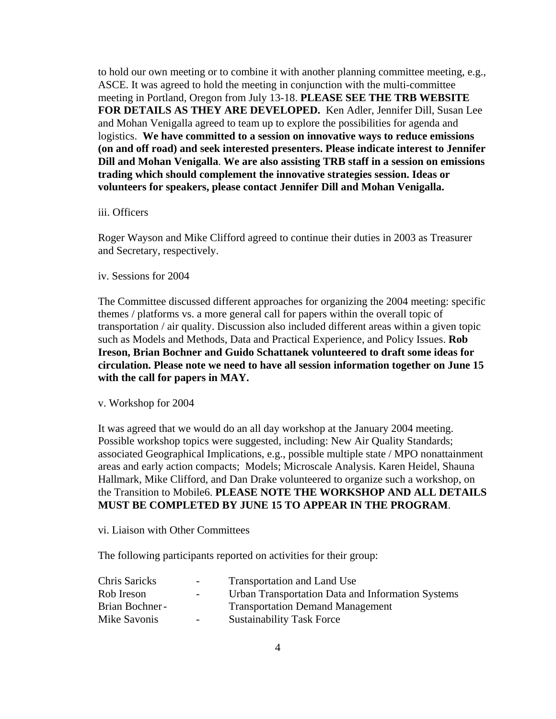to hold our own meeting or to combine it with another planning committee meeting, e.g., ASCE. It was agreed to hold the meeting in conjunction with the multi-committee meeting in Portland, Oregon from July 13-18. **PLEASE SEE THE TRB WEBSITE FOR DETAILS AS THEY ARE DEVELOPED.** Ken Adler, Jennifer Dill, Susan Lee and Mohan Venigalla agreed to team up to explore the possibilities for agenda and logistics. **We have committed to a session on innovative ways to reduce emissions (on and off road) and seek interested presenters. Please indicate interest to Jennifer Dill and Mohan Venigalla**. **We are also assisting TRB staff in a session on emissions trading which should complement the innovative strategies session. Ideas or volunteers for speakers, please contact Jennifer Dill and Mohan Venigalla.**

### iii. Officers

Roger Wayson and Mike Clifford agreed to continue their duties in 2003 as Treasurer and Secretary, respectively.

iv. Sessions for 2004

The Committee discussed different approaches for organizing the 2004 meeting: specific themes / platforms vs. a more general call for papers within the overall topic of transportation / air quality. Discussion also included different areas within a given topic such as Models and Methods, Data and Practical Experience, and Policy Issues. **Rob Ireson, Brian Bochner and Guido Schattanek volunteered to draft some ideas for circulation. Please note we need to have all session information together on June 15 with the call for papers in MAY.** 

### v. Workshop for 2004

It was agreed that we would do an all day workshop at the January 2004 meeting. Possible workshop topics were suggested, including: New Air Quality Standards; associated Geographical Implications, e.g., possible multiple state / MPO nonattainment areas and early action compacts; Models; Microscale Analysis. Karen Heidel, Shauna Hallmark, Mike Clifford, and Dan Drake volunteered to organize such a workshop, on the Transition to Mobile6. **PLEASE NOTE THE WORKSHOP AND ALL DETAILS MUST BE COMPLETED BY JUNE 15 TO APPEAR IN THE PROGRAM**.

vi. Liaison with Other Committees

The following participants reported on activities for their group:

| Chris Saricks  | $\sim$ 100 $\mu$ | Transportation and Land Use                       |
|----------------|------------------|---------------------------------------------------|
| Rob Ireson     | $\sim$ 100 $\mu$ | Urban Transportation Data and Information Systems |
| Brian Bochner- |                  | <b>Transportation Demand Management</b>           |
| Mike Savonis   | $\sim$ 100 $\mu$ | <b>Sustainability Task Force</b>                  |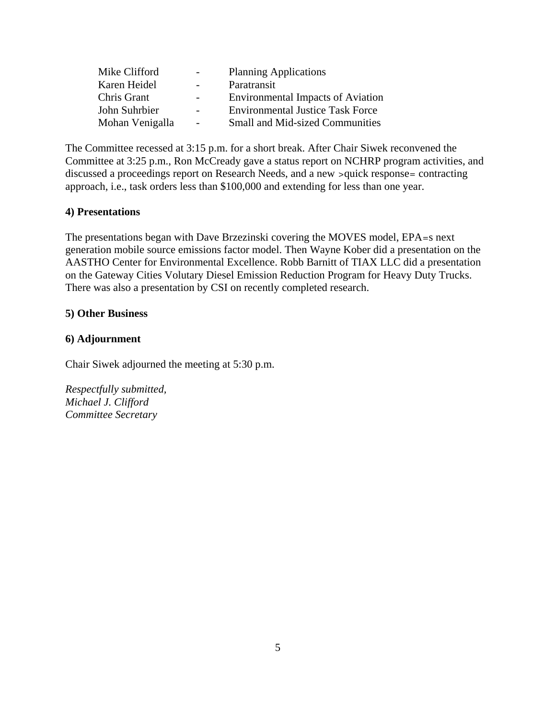| Mike Clifford   | $\overline{\phantom{0}}$ | <b>Planning Applications</b>             |
|-----------------|--------------------------|------------------------------------------|
| Karen Heidel    | $\overline{\phantom{0}}$ | Paratransit                              |
| Chris Grant     | $\sim$                   | <b>Environmental Impacts of Aviation</b> |
| John Suhrbier   |                          | <b>Environmental Justice Task Force</b>  |
| Mohan Venigalla | $\overline{a}$           | <b>Small and Mid-sized Communities</b>   |

The Committee recessed at 3:15 p.m. for a short break. After Chair Siwek reconvened the Committee at 3:25 p.m., Ron McCready gave a status report on NCHRP program activities, and discussed a proceedings report on Research Needs, and a new >quick response= contracting approach, i.e., task orders less than \$100,000 and extending for less than one year.

## **4) Presentations**

The presentations began with Dave Brzezinski covering the MOVES model, EPA=s next generation mobile source emissions factor model. Then Wayne Kober did a presentation on the AASTHO Center for Environmental Excellence. Robb Barnitt of TIAX LLC did a presentation on the Gateway Cities Volutary Diesel Emission Reduction Program for Heavy Duty Trucks. There was also a presentation by CSI on recently completed research.

### **5) Other Business**

## **6) Adjournment**

Chair Siwek adjourned the meeting at 5:30 p.m.

*Respectfully submitted, Michael J. Clifford Committee Secretary*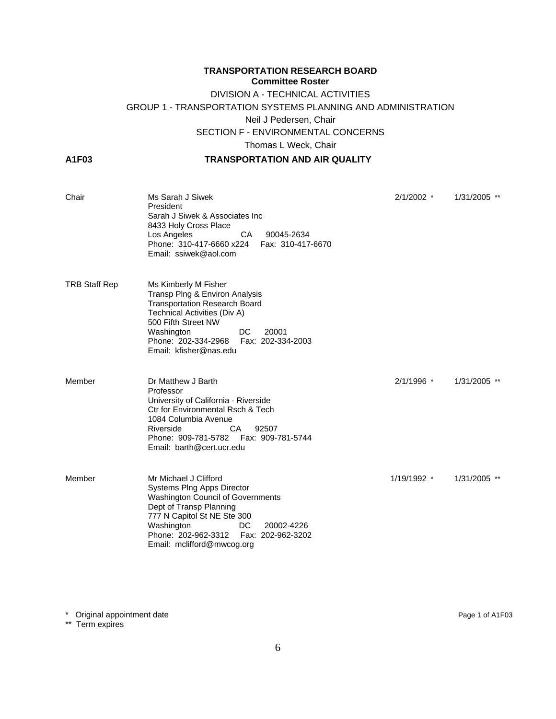# **TRANSPORTATION RESEARCH BOARD Committee Roster** DIVISION A - TECHNICAL ACTIVITIES GROUP 1 - TRANSPORTATION SYSTEMS PLANNING AND ADMINISTRATION Neil J Pedersen, Chair SECTION F - ENVIRONMENTAL CONCERNS Thomas L Weck, Chair

### **A1F03 TRANSPORTATION AND AIR QUALITY**

| Chair                | Ms Sarah J Siwek<br>President<br>Sarah J Siwek & Associates Inc<br>8433 Holy Cross Place<br>90045-2634<br>Los Angeles<br>CA –<br>Phone: 310-417-6660 x224<br>Fax: 310-417-6670<br>Email: ssiwek@aol.com                                                         | $2/1/2002$ * | 1/31/2005 ** |
|----------------------|-----------------------------------------------------------------------------------------------------------------------------------------------------------------------------------------------------------------------------------------------------------------|--------------|--------------|
| <b>TRB Staff Rep</b> | Ms Kimberly M Fisher<br>Transp Plng & Environ Analysis<br><b>Transportation Research Board</b><br>Technical Activities (Div A)<br>500 Fifth Street NW<br>DC.<br>20001<br>Washington<br>Phone: 202-334-2968<br>Fax: 202-334-2003<br>Email: kfisher@nas.edu       |              |              |
| Member               | Dr Matthew J Barth<br>Professor<br>University of California - Riverside<br><b>Ctr for Environmental Rsch &amp; Tech</b><br>1084 Columbia Avenue<br>Riverside<br>CA.<br>92507<br>Phone: 909-781-5782<br>Fax: 909-781-5744<br>Email: barth@cert.ucr.edu           | 2/1/1996 *   | 1/31/2005 ** |
| Member               | Mr Michael J Clifford<br>Systems Plng Apps Director<br>Washington Council of Governments<br>Dept of Transp Planning<br>777 N Capitol St NE Ste 300<br>Washington<br>DC.<br>20002-4226<br>Phone: 202-962-3312<br>Fax: 202-962-3202<br>Email: mclifford@mwcog.org | 1/19/1992 *  | 1/31/2005 ** |

\* Original appointment date Page 1 of A1F03

\*\* Term expires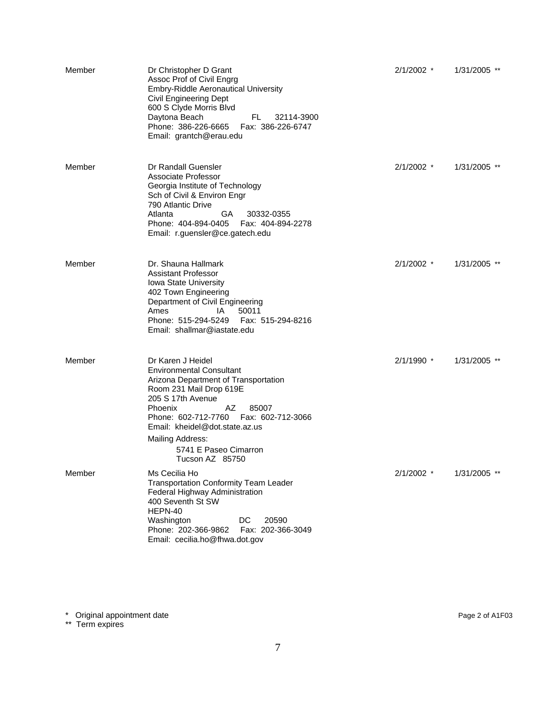| Member | Dr Christopher D Grant<br>Assoc Prof of Civil Engrg<br><b>Embry-Riddle Aeronautical University</b><br>Civil Engineering Dept<br>600 S Clyde Morris Blvd<br>Daytona Beach<br>FL.<br>32114-3900<br>Phone: 386-226-6665<br>Fax: 386-226-6747<br>Email: grantch@erau.edu                                                        | $2/1/2002$ * | 1/31/2005 ** |
|--------|-----------------------------------------------------------------------------------------------------------------------------------------------------------------------------------------------------------------------------------------------------------------------------------------------------------------------------|--------------|--------------|
| Member | Dr Randall Guensler<br>Associate Professor<br>Georgia Institute of Technology<br>Sch of Civil & Environ Engr<br>790 Atlantic Drive<br>GA<br>30332-0355<br>Atlanta<br>Phone: 404-894-0405<br>Fax: 404-894-2278<br>Email: r.guensler@ce.gatech.edu                                                                            | $2/1/2002$ * | 1/31/2005 ** |
| Member | Dr. Shauna Hallmark<br><b>Assistant Professor</b><br>Iowa State University<br>402 Town Engineering<br>Department of Civil Engineering<br>50011<br>Ames<br>IA.<br>Fax: 515-294-8216<br>Phone: 515-294-5249<br>Email: shallmar@iastate.edu                                                                                    | $2/1/2002$ * | 1/31/2005 ** |
| Member | Dr Karen J Heidel<br><b>Environmental Consultant</b><br>Arizona Department of Transportation<br>Room 231 Mail Drop 619E<br>205 S 17th Avenue<br><b>Phoenix</b><br>AZ<br>85007<br>Phone: 602-712-7760    Fax: 602-712-3066<br>Email: kheidel@dot.state.az.us<br>Mailing Address:<br>5741 E Paseo Cimarron<br>Tucson AZ 85750 | $2/1/1990$ * | 1/31/2005 ** |
| Member | Ms Cecilia Ho<br><b>Transportation Conformity Team Leader</b><br>Federal Highway Administration<br>400 Seventh St SW<br>HEPN-40<br>DC<br>20590<br>Washington<br>Phone: 202-366-9862<br>Fax: 202-366-3049<br>Email: cecilia.ho@fhwa.dot.gov                                                                                  | 2/1/2002 *   | 1/31/2005 ** |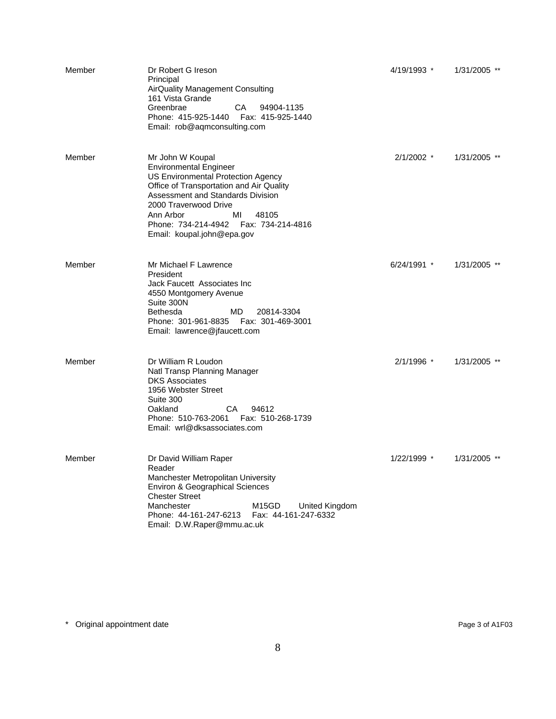| Member | Dr Robert G Ireson<br>Principal<br>AirQuality Management Consulting<br>161 Vista Grande<br>Greenbrae<br>CA.<br>94904-1135<br>Phone: 415-925-1440  Fax: 415-925-1440<br>Email: rob@aqmconsulting.com                                                                                                     | 4/19/1993 *  | 1/31/2005 ** |
|--------|---------------------------------------------------------------------------------------------------------------------------------------------------------------------------------------------------------------------------------------------------------------------------------------------------------|--------------|--------------|
| Member | Mr John W Koupal<br><b>Environmental Engineer</b><br>US Environmental Protection Agency<br>Office of Transportation and Air Quality<br>Assessment and Standards Division<br>2000 Traverwood Drive<br>Ann Arbor<br>MI<br>48105<br>Phone: 734-214-4942    Fax: 734-214-4816<br>Email: koupal.john@epa.gov | $2/1/2002$ * | 1/31/2005 ** |
| Member | Mr Michael F Lawrence<br>President<br>Jack Faucett Associates Inc<br>4550 Montgomery Avenue<br>Suite 300N<br><b>Bethesda</b><br>MD.<br>20814-3304<br>Phone: 301-961-8835<br>Fax: 301-469-3001<br>Email: lawrence@jfaucett.com                                                                           | 6/24/1991 *  | 1/31/2005 ** |
| Member | Dr William R Loudon<br>Natl Transp Planning Manager<br><b>DKS Associates</b><br>1956 Webster Street<br>Suite 300<br>Oakland<br>CA D<br>94612<br>Phone: 510-763-2061<br>Fax: 510-268-1739<br>Email: wrl@dksassociates.com                                                                                | 2/1/1996 *   | 1/31/2005 ** |
| Member | Dr David William Raper<br>Reader<br>Manchester Metropolitan University<br>Environ & Geographical Sciences<br><b>Chester Street</b><br>Manchester<br>M15GD<br>United Kingdom<br>Phone: 44-161-247-6213    Fax: 44-161-247-6332<br>Email: D.W.Raper@mmu.ac.uk                                             | 1/22/1999 *  | 1/31/2005 ** |

\* Original appointment date Page 3 of A1F03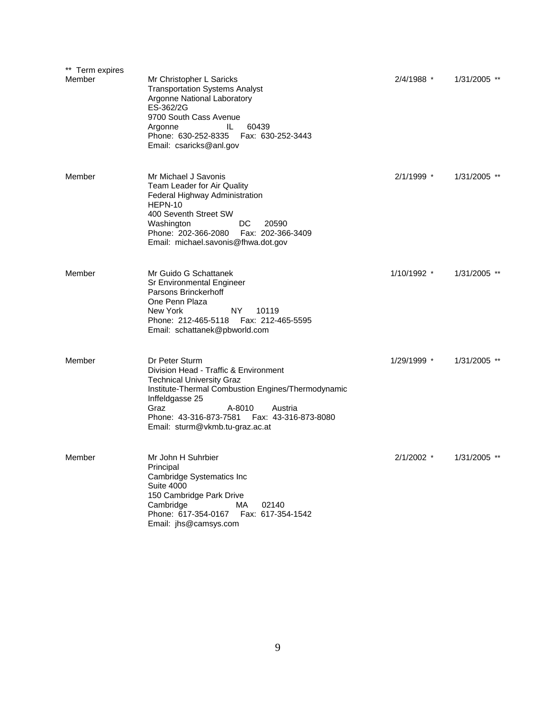| ** Term expires |                                                                                                                                                                                                                                                                                        |              |                |
|-----------------|----------------------------------------------------------------------------------------------------------------------------------------------------------------------------------------------------------------------------------------------------------------------------------------|--------------|----------------|
| Member          | Mr Christopher L Saricks<br><b>Transportation Systems Analyst</b><br>Argonne National Laboratory<br>ES-362/2G<br>9700 South Cass Avenue<br>60439<br>IL.<br>Argonne<br>Phone: 630-252-8335    Fax: 630-252-3443<br>Email: csaricks@anl.gov                                              | 2/4/1988 *   | 1/31/2005 **   |
| Member          | Mr Michael J Savonis<br>Team Leader for Air Quality<br>Federal Highway Administration<br>HEPN-10<br>400 Seventh Street SW<br>Washington<br>DC.<br>20590<br>Phone: 202-366-2080  Fax: 202-366-3409<br>Email: michael.savonis@fhwa.dot.gov                                               | 2/1/1999 *   | $1/31/2005$ ** |
| Member          | Mr Guido G Schattanek<br>Sr Environmental Engineer<br>Parsons Brinckerhoff<br>One Penn Plaza<br>NY.<br>New York<br>10119<br>Phone: 212-465-5118  Fax: 212-465-5595<br>Email: schattanek@pbworld.com                                                                                    | 1/10/1992 *  | $1/31/2005$ ** |
| Member          | Dr Peter Sturm<br>Division Head - Traffic & Environment<br><b>Technical University Graz</b><br>Institute-Thermal Combustion Engines/Thermodynamic<br>Inffeldgasse 25<br>Graz<br>A-8010<br>Austria<br>Phone: 43-316-873-7581<br>Fax: 43-316-873-8080<br>Email: sturm@vkmb.tu-graz.ac.at | 1/29/1999 *  | 1/31/2005 **   |
| Member          | Mr John H Suhrbier<br>Principal<br>Cambridge Systematics Inc<br><b>Suite 4000</b><br>150 Cambridge Park Drive<br>Cambridge<br>MA.<br>02140<br>Phone: 617-354-0167    Fax: 617-354-1542<br>Email: jhs@camsys.com                                                                        | $2/1/2002$ * | 1/31/2005 **   |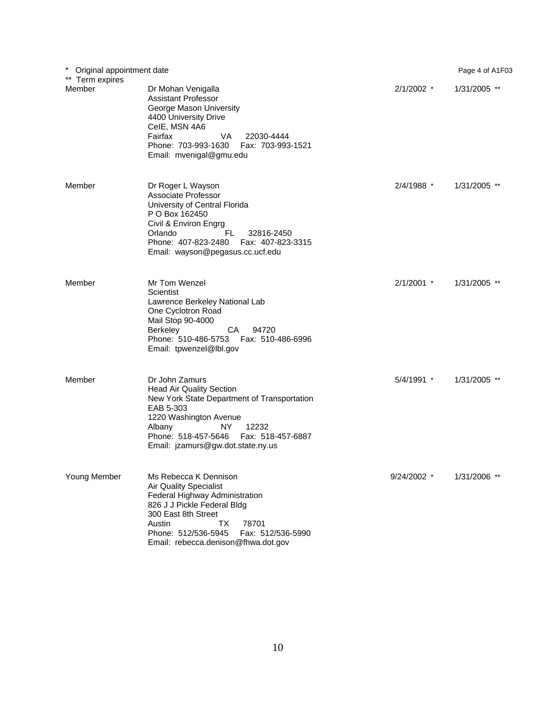| $\ast$<br>Original appointment date<br>** Term expires |                                                                                                                                                                                                                                                            |              | Page 4 of A1F03 |
|--------------------------------------------------------|------------------------------------------------------------------------------------------------------------------------------------------------------------------------------------------------------------------------------------------------------------|--------------|-----------------|
| Member                                                 | Dr Mohan Venigalla<br><b>Assistant Professor</b><br>George Mason University<br>4400 University Drive<br>CelE, MSN 4A6<br>Fairfax<br>VA<br>22030-4444<br>Phone: 703-993-1630<br>Fax: 703-993-1521<br>Email: mvenigal@gmu.edu                                | $2/1/2002$ * | 1/31/2005 **    |
| Member                                                 | Dr Roger L Wayson<br>Associate Professor<br>University of Central Florida<br>P O Box 162450<br>Civil & Environ Engrg<br>Orlando<br>FL.<br>32816-2450<br>Phone: 407-823-2480<br>Fax: 407-823-3315<br>Email: wayson@pegasus.cc.ucf.edu                       | 2/4/1988 *   | 1/31/2005 **    |
| Member                                                 | Mr Tom Wenzel<br>Scientist<br>Lawrence Berkeley National Lab<br>One Cyclotron Road<br>Mail Stop 90-4000<br>CA<br>Berkeley<br>94720<br>Phone: 510-486-5753<br>Fax: 510-486-6996<br>Email: tpwenzel@lbl.gov                                                  | $2/1/2001$ * | $1/31/2005$ **  |
| Member                                                 | Dr John Zamurs<br><b>Head Air Quality Section</b><br>New York State Department of Transportation<br>EAB 5-303<br>1220 Washington Avenue<br>Albany<br>12232<br>NY.<br>Phone: 518-457-5646<br>Fax: 518-457-6887<br>Email: jzamurs@gw.dot.state.ny.us         | 5/4/1991 *   | 1/31/2005 **    |
| Young Member                                           | Ms Rebecca K Dennison<br><b>Air Quality Specialist</b><br>Federal Highway Administration<br>826 J J Pickle Federal Bldg<br>300 East 8th Street<br>78701<br>Austin<br>ТX<br>Phone: 512/536-5945<br>Fax: 512/536-5990<br>Email: rebecca.denison@fhwa.dot.gov | 9/24/2002 *  | 1/31/2006 **    |